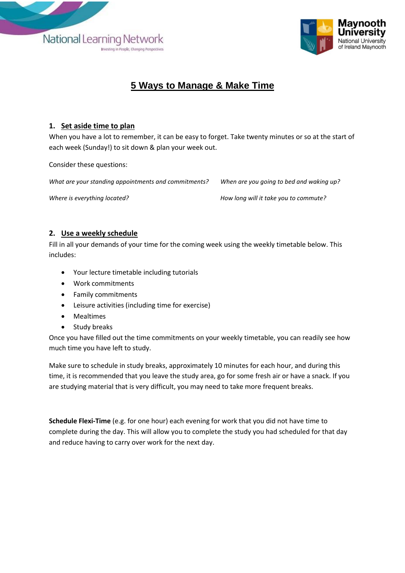



### **5 Ways to Manage & Make Time**

#### **1. Set aside time to plan**

When you have a lot to remember, it can be easy to forget. Take twenty minutes or so at the start of each week (Sunday!) to sit down & plan your week out.

Consider these questions:

*What are your standing appointments and commitments? When are you going to bed and waking up?* 

*Where is everything located? How long will it take you to commute?*

#### **2. Use a weekly schedule**

Fill in all your demands of your time for the coming week using the weekly timetable below. This includes:

- Your lecture timetable including tutorials
- Work commitments
- Family commitments
- Leisure activities (including time for exercise)
- Mealtimes
- Study breaks

Once you have filled out the time commitments on your weekly timetable, you can readily see how much time you have left to study.

Make sure to schedule in study breaks, approximately 10 minutes for each hour, and during this time, it is recommended that you leave the study area, go for some fresh air or have a snack. If you are studying material that is very difficult, you may need to take more frequent breaks.

**Schedule Flexi-Time** (e.g. for one hour) each evening for work that you did not have time to complete during the day. This will allow you to complete the study you had scheduled for that day and reduce having to carry over work for the next day.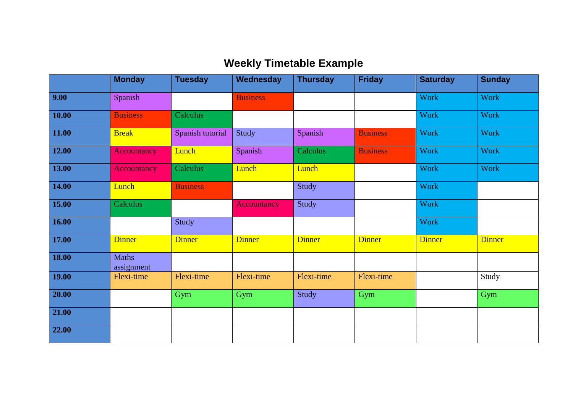# **Weekly Timetable Example**

|       | <b>Monday</b>       | <b>Tuesday</b>   | Wednesday       | <b>Thursday</b> | <b>Friday</b>   | <b>Saturday</b> | <b>Sunday</b> |
|-------|---------------------|------------------|-----------------|-----------------|-----------------|-----------------|---------------|
| 9.00  | Spanish             |                  | <b>Business</b> |                 |                 | Work            | <b>Work</b>   |
| 10.00 | <b>Business</b>     | Calculus         |                 |                 |                 | <b>Work</b>     | <b>Work</b>   |
| 11.00 | <b>Break</b>        | Spanish tutorial | Study           | Spanish         | <b>Business</b> | <b>Work</b>     | <b>Work</b>   |
| 12.00 | Accountancy         | Lunch            | Spanish         | Calculus        | <b>Business</b> | <b>Work</b>     | <b>Work</b>   |
| 13.00 | Accountancy         | Calculus         | Lunch           | Lunch           |                 | Work            | <b>Work</b>   |
| 14.00 | Lunch               | <b>Business</b>  |                 | Study           |                 | <b>Work</b>     |               |
| 15.00 | Calculus            |                  | Accountancy     | Study           |                 | <b>Work</b>     |               |
| 16.00 |                     | Study            |                 |                 |                 | <b>Work</b>     |               |
| 17.00 | <b>Dinner</b>       | <b>Dinner</b>    | <b>Dinner</b>   | <b>Dinner</b>   | <b>Dinner</b>   | <b>Dinner</b>   | <b>Dinner</b> |
| 18.00 | Maths<br>assignment |                  |                 |                 |                 |                 |               |
| 19.00 | Flexi-time          | Flexi-time       | Flexi-time      | Flexi-time      | Flexi-time      |                 | Study         |
| 20.00 |                     | Gym              | Gym             | Study           | Gym             |                 | Gym           |
| 21.00 |                     |                  |                 |                 |                 |                 |               |
| 22.00 |                     |                  |                 |                 |                 |                 |               |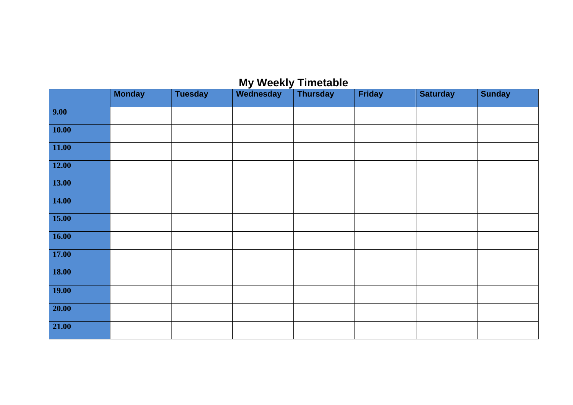## **My Weekly Timetable**

|                 | <b>Monday</b> | <b>Tuesday</b> | Wednesday | <b>Thursday</b> | <b>Friday</b> | <b>Saturday</b> | <b>Sunday</b> |
|-----------------|---------------|----------------|-----------|-----------------|---------------|-----------------|---------------|
| 9.00            |               |                |           |                 |               |                 |               |
| 10.00           |               |                |           |                 |               |                 |               |
| 11.00           |               |                |           |                 |               |                 |               |
| 12.00           |               |                |           |                 |               |                 |               |
| 13.00           |               |                |           |                 |               |                 |               |
| $\boxed{14.00}$ |               |                |           |                 |               |                 |               |
| 15.00           |               |                |           |                 |               |                 |               |
| $\boxed{16.00}$ |               |                |           |                 |               |                 |               |
| <b>17.00</b>    |               |                |           |                 |               |                 |               |
| <b>18.00</b>    |               |                |           |                 |               |                 |               |
| 19.00           |               |                |           |                 |               |                 |               |
| 20.00           |               |                |           |                 |               |                 |               |
| 21.00           |               |                |           |                 |               |                 |               |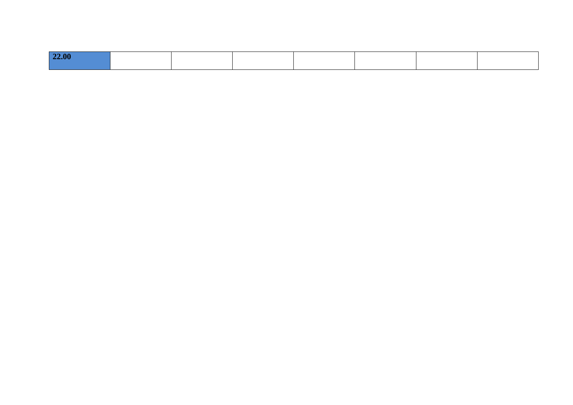| $\mathbf{a}$<br>FUU. |  |  |  |
|----------------------|--|--|--|
|                      |  |  |  |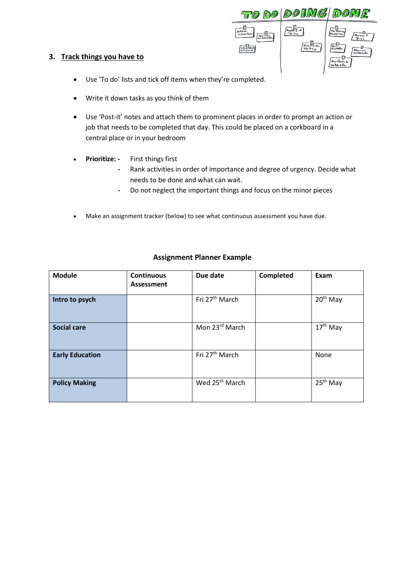

#### **3. Track things you have to**

- Use 'To do' lists and tick off items when they're completed.
- Write it down tasks as you think of them
- Use 'Post-it' notes and attach them to prominent places in order to prompt an action or job that needs to be completed that day. This could be placed on a corkboard in a central place or in your bedroom
- **Prioritize: -** First things first
	- **-** Rank activities in order of importance and degree of urgency. Decide what needs to be done and what can wait.
	- **-** Do not neglect the important things and focus on the minor pieces
- Make an assignment tracker (below) to see what continuous assessment you have due.

| <b>Module</b>          | <b>Continuous</b><br><b>Assessment</b> | Due date                   | Completed | Exam                 |
|------------------------|----------------------------------------|----------------------------|-----------|----------------------|
| Intro to psych         |                                        | Fri 27 <sup>th</sup> March |           | 20 <sup>th</sup> May |
| <b>Social care</b>     |                                        | Mon 23rd March             |           | 17 <sup>th</sup> May |
| <b>Early Education</b> |                                        | Fri 27 <sup>th</sup> March |           | None                 |
| <b>Policy Making</b>   |                                        | Wed 25 <sup>th</sup> March |           | 25 <sup>th</sup> May |

#### **Assignment Planner Example**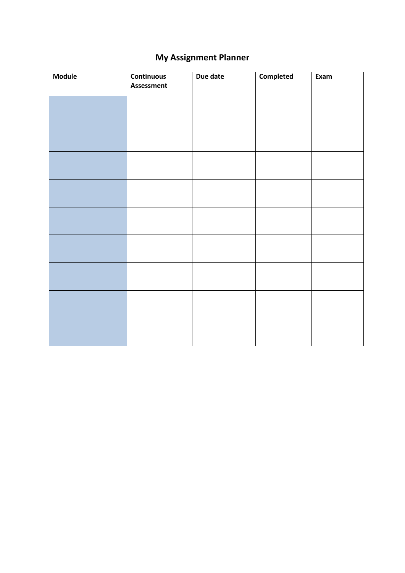## **My Assignment Planner**

| <b>Module</b> | <b>Continuous</b><br><b>Assessment</b> | Due date | <b>Completed</b> | Exam |
|---------------|----------------------------------------|----------|------------------|------|
|               |                                        |          |                  |      |
|               |                                        |          |                  |      |
|               |                                        |          |                  |      |
|               |                                        |          |                  |      |
|               |                                        |          |                  |      |
|               |                                        |          |                  |      |
|               |                                        |          |                  |      |
|               |                                        |          |                  |      |
|               |                                        |          |                  |      |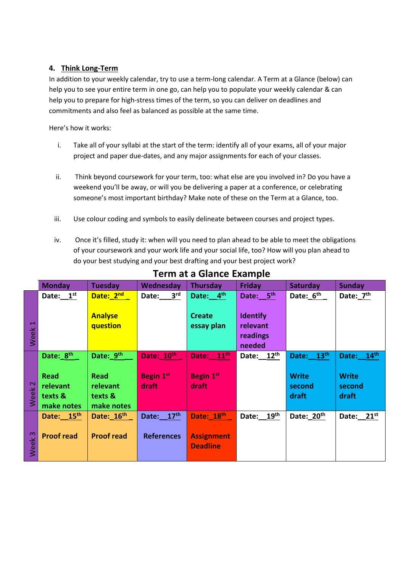#### **4. Think Long-Term**

In addition to your weekly calendar, try to use a term-long calendar. A Term at a Glance (below) can help you to see your entire term in one go, can help you to populate your weekly calendar & can help you to prepare for high-stress times of the term, so you can deliver on deadlines and commitments and also feel as balanced as possible at the same time.

Here's how it works:

- i. Take all of your syllabi at the start of the term: identify all of your exams, all of your major project and paper due-dates, and any major assignments for each of your classes.
- ii. Think beyond coursework for your term, too: what else are you involved in? Do you have a weekend you'll be away, or will you be delivering a paper at a conference, or celebrating someone's most important birthday? Make note of these on the Term at a Glance, too.
- iii. Use colour coding and symbols to easily delineate between courses and project types.
- iv. Once it's filled, study it: when will you need to plan ahead to be able to meet the obligations of your coursework and your work life and your social life, too? How will you plan ahead to do your best studying and your best drafting and your best project work?

|                          | <b>Monday</b>         | <b>Tuesday</b>         | Wednesday                | <b>Thursday</b>       | <b>Friday</b>   | <b>Saturday</b>        | <b>Sunday</b>   |
|--------------------------|-----------------------|------------------------|--------------------------|-----------------------|-----------------|------------------------|-----------------|
|                          | Date: $1st$           | Date: 2nd              | 3 <sup>rd</sup><br>Date: | Date: 4 <sup>th</sup> | Date: 5th       | Date: 6 <sup>th</sup>  | Date: $Z^{th}$  |
|                          |                       |                        |                          |                       |                 |                        |                 |
|                          |                       | <b>Analyse</b>         |                          | <b>Create</b>         | <b>Identify</b> |                        |                 |
| $\overline{\phantom{0}}$ |                       | question               |                          | essay plan            | relevant        |                        |                 |
| Week                     |                       |                        |                          |                       | readings        |                        |                 |
|                          |                       |                        |                          |                       | needed          |                        |                 |
|                          | Date: 8 <sup>th</sup> | Date: 9th              | Date: 10th               | Date: 11th            | Date: $12^{th}$ | Date: 13th             | Date: 14th      |
|                          |                       |                        |                          |                       |                 |                        |                 |
|                          | <b>Read</b>           | <b>Read</b>            | <b>Begin 1st</b>         | <b>Begin 1st</b>      |                 | <b>Write</b>           | <b>Write</b>    |
| Week <sub>2</sub>        | relevant              | relevant               | draft                    | draft                 |                 | second                 | second          |
|                          | texts &               | texts &                |                          |                       |                 | draft                  | draft           |
|                          | make notes            | make notes             |                          |                       |                 |                        |                 |
|                          | Date: 15th            | Date: 16 <sup>th</sup> | Date: 17th               | Date: 18th            | Date: 19th      | Date: 20 <sup>th</sup> | Date: $21^{st}$ |
|                          |                       |                        |                          |                       |                 |                        |                 |
|                          | <b>Proof read</b>     | <b>Proof read</b>      | <b>References</b>        | <b>Assignment</b>     |                 |                        |                 |
| Week <sub>3</sub>        |                       |                        |                          | <b>Deadline</b>       |                 |                        |                 |
|                          |                       |                        |                          |                       |                 |                        |                 |

### **Term at a Glance Example**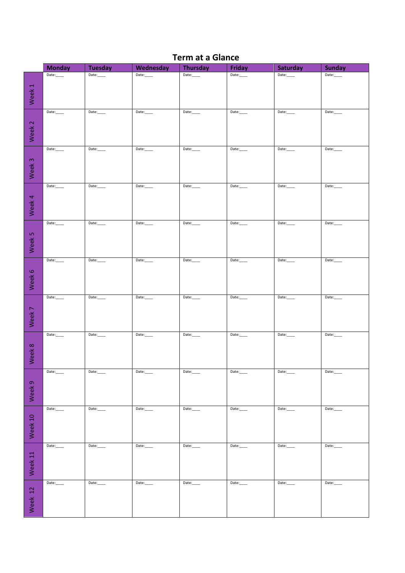|                    | <b>Monday</b> | <b>Tuesday</b> | Wednesday | <b>Thursday</b> | <b>Friday</b> | Saturday | <b>Sunday</b> |
|--------------------|---------------|----------------|-----------|-----------------|---------------|----------|---------------|
|                    | Date:         | Date:          | Date:     | Date:           | Date:         | Date:    | Date:         |
|                    |               |                |           |                 |               |          |               |
| Week 1             |               |                |           |                 |               |          |               |
|                    | Date:         | Date:          | Date:     | Date:           | Date:         | Date:    | Date:         |
| Week <sub>2</sub>  |               |                |           |                 |               |          |               |
|                    |               |                |           |                 |               |          |               |
|                    | Date:         | Date:          | Date:     | Date:           | Date:         | Date:    | Date:         |
| Week 3             |               |                |           |                 |               |          |               |
|                    | Date:         | Date:          | Date:     | Date:           |               | Date:    | Date:         |
| Week 4             |               |                |           |                 |               |          |               |
|                    | Date:         | Date:          | Date:     | Date:           | Date:         | Date:    | Date:         |
|                    |               |                |           |                 |               |          |               |
| Week 5             |               |                |           |                 |               |          |               |
|                    | Date:         | Date:          | Date:     | Date:           | Date:         | Date:    | Date:         |
| Week 6             |               |                |           |                 |               |          |               |
|                    | Date:         | Date:          | Date:     | Date:           | Date:         | Date:    | Date:         |
| Week 7             |               |                |           |                 |               |          |               |
|                    | Date:         | Date:          | Date:     | Date:           | Date:         | Date:    | Date:         |
| Week 8             |               |                |           |                 |               |          |               |
|                    | Date:         | Date:          | Date:     | Date:           | Date:         | Date:    | Date:         |
| Week 9             |               |                |           |                 |               |          |               |
|                    | Date:         | Date:          | Date:     | Date:           | Date:         | Date:    | Date:         |
| Week 10            |               |                |           |                 |               |          |               |
|                    | Date:         | Date:          | Date:     | Date:           | Date:         | Date:    | Date:         |
| Week <sub>11</sub> |               |                |           |                 |               |          |               |
|                    | Date:         | Date:          | Date:     | Date:           | Date:         | Date:    | Date:         |
| Week 12            |               |                |           |                 |               |          |               |

### **Term at a Glance**